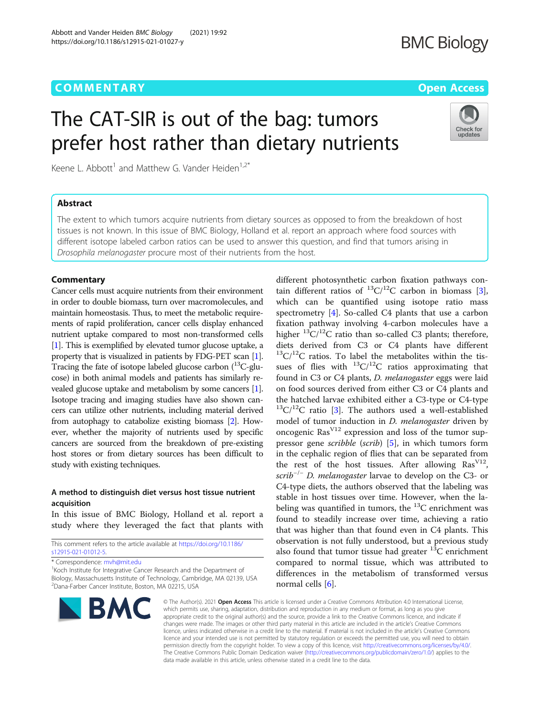# COMM EN TARY Open [Access](http://crossmark.crossref.org/dialog/?doi=10.1186/s12915-021-01027-y&domain=pdf)

# The CAT-SIR is out of the bag: tumors prefer host rather than dietary nutrients

Keene L. Abbott<sup>1</sup> and Matthew G. Vander Heiden<sup>1,2\*</sup>

# **Abstract**

The extent to which tumors acquire nutrients from dietary sources as opposed to from the breakdown of host tissues is not known. In this issue of BMC Biology, Holland et al. report an approach where food sources with different isotope labeled carbon ratios can be used to answer this question, and find that tumors arising in Drosophila melanogaster procure most of their nutrients from the host.

Cancer cells must acquire nutrients from their environment in order to double biomass, turn over macromolecules, and maintain homeostasis. Thus, to meet the metabolic requirements of rapid proliferation, cancer cells display enhanced nutrient uptake compared to most non-transformed cells [[1](#page-2-0)]. This is exemplified by elevated tumor glucose uptake, a property that is visualized in patients by FDG-PET scan [[1](#page-2-0)]. Tracing the fate of isotope labeled glucose carbon  $(^{13}C$ -glucose) in both animal models and patients has similarly revealed glucose uptake and metabolism by some cancers [[1](#page-2-0)]. Isotope tracing and imaging studies have also shown cancers can utilize other nutrients, including material derived from autophagy to catabolize existing biomass [\[2\]](#page-2-0). However, whether the majority of nutrients used by specific cancers are sourced from the breakdown of pre-existing host stores or from dietary sources has been difficult to study with existing techniques.

# A method to distinguish diet versus host tissue nutrient acquisition

In this issue of BMC Biology, Holland et al. report a study where they leveraged the fact that plants with

This comment refers to the article available at [https://doi.org/10.1186/](https://doi.org/10.1186/s12915-021-01012-5) [s12915-021-01012-5](https://doi.org/10.1186/s12915-021-01012-5).

\* Correspondence: [mvh@mit.edu](mailto:mvh@mit.edu) <sup>1</sup>

**BMC** 

<sup>1</sup> Koch Institute for Integrative Cancer Research and the Department of Biology, Massachusetts Institute of Technology, Cambridge, MA 02139, USA 2 Dana-Farber Cancer Institute, Boston, MA 02215, USA



different photosynthetic carbon fixation pathways con-

© The Author(s), 2021 **Open Access** This article is licensed under a Creative Commons Attribution 4.0 International License, which permits use, sharing, adaptation, distribution and reproduction in any medium or format, as long as you give appropriate credit to the original author(s) and the source, provide a link to the Creative Commons licence, and indicate if changes were made. The images or other third party material in this article are included in the article's Creative Commons licence, unless indicated otherwise in a credit line to the material. If material is not included in the article's Creative Commons licence and your intended use is not permitted by statutory regulation or exceeds the permitted use, you will need to obtain permission directly from the copyright holder. To view a copy of this licence, visit [http://creativecommons.org/licenses/by/4.0/.](http://creativecommons.org/licenses/by/4.0/) The Creative Commons Public Domain Dedication waiver [\(http://creativecommons.org/publicdomain/zero/1.0/](http://creativecommons.org/publicdomain/zero/1.0/)) applies to the data made available in this article, unless otherwise stated in a credit line to the data.



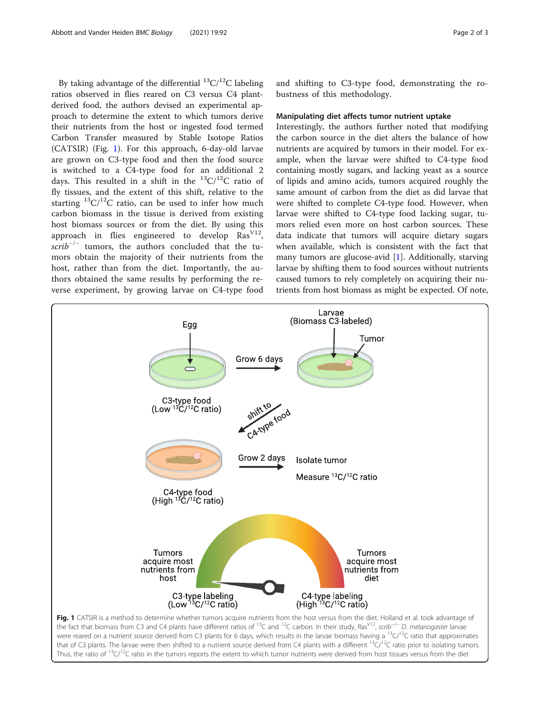By taking advantage of the differential  ${}^{13}C/{}^{12}C$  labeling ratios observed in flies reared on C3 versus C4 plantderived food, the authors devised an experimental approach to determine the extent to which tumors derive their nutrients from the host or ingested food termed Carbon Transfer measured by Stable Isotope Ratios (CATSIR) (Fig. 1). For this approach, 6-day-old larvae are grown on C3-type food and then the food source is switched to a C4-type food for an additional 2 days. This resulted in a shift in the  ${}^{13}C/{}^{12}C$  ratio of fly tissues, and the extent of this shift, relative to the starting  ${}^{13}C/{}^{12}C$  ratio, can be used to infer how much carbon biomass in the tissue is derived from existing host biomass sources or from the diet. By using this approach in flies engineered to develop  $\text{Ras}^{\text{V12}}$ ,  $scrib^{-/-}$  tumors, the authors concluded that the tumors obtain the majority of their nutrients from the host, rather than from the diet. Importantly, the authors obtained the same results by performing the reverse experiment, by growing larvae on C4-type food

and shifting to C3-type food, demonstrating the robustness of this methodology.

### Manipulating diet affects tumor nutrient uptake

Interestingly, the authors further noted that modifying the carbon source in the diet alters the balance of how nutrients are acquired by tumors in their model. For example, when the larvae were shifted to C4-type food containing mostly sugars, and lacking yeast as a source of lipids and amino acids, tumors acquired roughly the same amount of carbon from the diet as did larvae that were shifted to complete C4-type food. However, when larvae were shifted to C4-type food lacking sugar, tumors relied even more on host carbon sources. These data indicate that tumors will acquire dietary sugars when available, which is consistent with the fact that many tumors are glucose-avid  $[1]$  $[1]$ . Additionally, starving larvae by shifting them to food sources without nutrients caused tumors to rely completely on acquiring their nutrients from host biomass as might be expected. Of note,